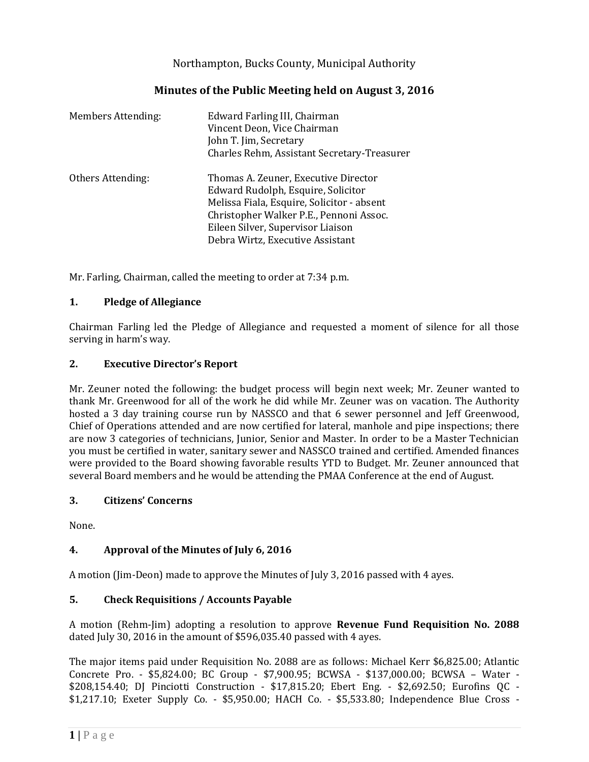Northampton, Bucks County, Municipal Authority

| Minutes of the Public Meeting held on August 3, 2016 |  |
|------------------------------------------------------|--|
|------------------------------------------------------|--|

| <b>Members Attending:</b> | Edward Farling III, Chairman<br>Vincent Deon, Vice Chairman<br>John T. Jim, Secretary<br>Charles Rehm, Assistant Secretary-Treasurer                                                                                                         |
|---------------------------|----------------------------------------------------------------------------------------------------------------------------------------------------------------------------------------------------------------------------------------------|
| Others Attending:         | Thomas A. Zeuner, Executive Director<br>Edward Rudolph, Esquire, Solicitor<br>Melissa Fiala, Esquire, Solicitor - absent<br>Christopher Walker P.E., Pennoni Assoc.<br>Eileen Silver, Supervisor Liaison<br>Debra Wirtz, Executive Assistant |

Mr. Farling, Chairman, called the meeting to order at 7:34 p.m.

# **1. Pledge of Allegiance**

Chairman Farling led the Pledge of Allegiance and requested a moment of silence for all those serving in harm's way.

### **2. Executive Director's Report**

Mr. Zeuner noted the following: the budget process will begin next week; Mr. Zeuner wanted to thank Mr. Greenwood for all of the work he did while Mr. Zeuner was on vacation. The Authority hosted a 3 day training course run by NASSCO and that 6 sewer personnel and Jeff Greenwood, Chief of Operations attended and are now certified for lateral, manhole and pipe inspections; there are now 3 categories of technicians, Junior, Senior and Master. In order to be a Master Technician you must be certified in water, sanitary sewer and NASSCO trained and certified. Amended finances were provided to the Board showing favorable results YTD to Budget. Mr. Zeuner announced that several Board members and he would be attending the PMAA Conference at the end of August.

### **3. Citizens' Concerns**

None.

# **4. Approval of the Minutes of July 6, 2016**

A motion (Jim-Deon) made to approve the Minutes of July 3, 2016 passed with 4 ayes.

# **5. Check Requisitions / Accounts Payable**

A motion (Rehm-Jim) adopting a resolution to approve **Revenue Fund Requisition No. 2088** dated July 30, 2016 in the amount of \$596,035.40 passed with 4 ayes.

The major items paid under Requisition No. 2088 are as follows: Michael Kerr \$6,825.00; Atlantic Concrete Pro. - \$5,824.00; BC Group - \$7,900.95; BCWSA - \$137,000.00; BCWSA – Water - \$208,154.40; DJ Pinciotti Construction - \$17,815.20; Ebert Eng. - \$2,692.50; Eurofins QC - \$1,217.10; Exeter Supply Co. - \$5,950.00; HACH Co. - \$5,533.80; Independence Blue Cross -